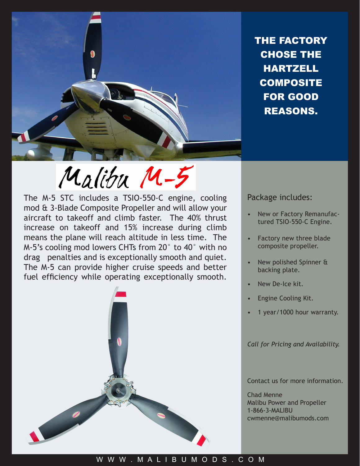

THE FACTORY CHOSE THE **HARTZELL COMPOSITE** FOR GOOD REASONS.

## Malibu M-5

The M-5 STC includes a TSIO-550-C engine, cooling mod & 3-Blade Composite Propeller and will allow your aircraft to takeoff and climb faster. The 40% thrust increase on takeoff and 15% increase during climb means the plane will reach altitude in less time. The M-5's cooling mod lowers CHTs from 20° to 40° with no drag penalties and is exceptionally smooth and quiet. The M-5 can provide higher cruise speeds and better fuel efficiency while operating exceptionally smooth.



Package includes:

- New or Factory Remanufactured TSIO-550-C Engine. •
- Factory new three blade composite propeller. •
- New polished Spinner & backing plate. •
- New De-Ice kit. •
- Engine Cooling Kit. •
- 1 year/1000 hour warranty. •

*Call for Pricing and Availability.*

Contact us for more information.

Chad Menne Malibu Power and Propeller 1-866-3-MALIBU cwmenne@malibumods.com

## W W W . M A L I B U M O D S . C O M